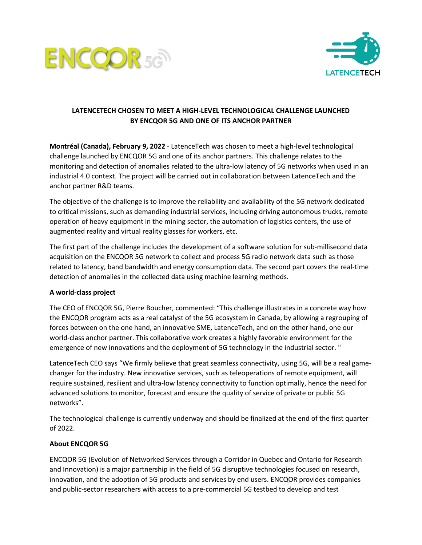



## **LATENCETECH CHOSEN TO MEET A HIGH-LEVEL TECHNOLOGICAL CHALLENGE LAUNCHED BY ENCQOR 5G AND ONE OF ITS ANCHOR PARTNER**

**Montréal (Canada), February 9, 2022** - LatenceTech was chosen to meet a high-level technological challenge launched by ENCQOR 5G and one of its anchor partners. This challenge relates to the monitoring and detection of anomalies related to the ultra-low latency of 5G networks when used in an industrial 4.0 context. The project will be carried out in collaboration between LatenceTech and the anchor partner R&D teams.

The objective of the challenge is to improve the reliability and availability of the 5G network dedicated to critical missions, such as demanding industrial services, including driving autonomous trucks, remote operation of heavy equipment in the mining sector, the automation of logistics centers, the use of augmented reality and virtual reality glasses for workers, etc.

The first part of the challenge includes the development of a software solution for sub-millisecond data acquisition on the ENCQOR 5G network to collect and process 5G radio network data such as those related to latency, band bandwidth and energy consumption data. The second part covers the real-time detection of anomalies in the collected data using machine learning methods.

## **A world-class project**

The CEO of ENCQOR 5G, Pierre Boucher, commented: "This challenge illustrates in a concrete way how the ENCQOR program acts as a real catalyst of the 5G ecosystem in Canada, by allowing a regrouping of forces between on the one hand, an innovative SME, LatenceTech, and on the other hand, one our world-class anchor partner. This collaborative work creates a highly favorable environment for the emergence of new innovations and the deployment of 5G technology in the industrial sector. "

LatenceTech CEO says "We firmly believe that great seamless connectivity, using 5G, will be a real gamechanger for the industry. New innovative services, such as teleoperations of remote equipment, will require sustained, resilient and ultra-low latency connectivity to function optimally, hence the need for advanced solutions to monitor, forecast and ensure the quality of service of private or public 5G networks".

The technological challenge is currently underway and should be finalized at the end of the first quarter of 2022.

## **About ENCQOR 5G**

ENCQOR 5G (Evolution of Networked Services through a Corridor in Quebec and Ontario for Research and Innovation) is a major partnership in the field of 5G disruptive technologies focused on research, innovation, and the adoption of 5G products and services by end users. ENCQOR provides companies and public-sector researchers with access to a pre-commercial 5G testbed to develop and test